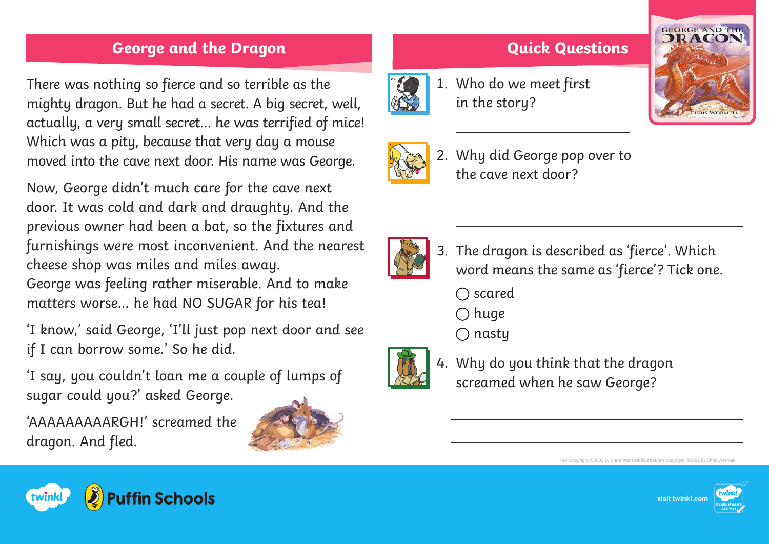## **George and the Dragon Quick Questions**

There was nothing so fierce and so terrible as the mighty dragon. But he had a secret. A big secret, well, actually, a very small secret… he was terrified of mice! Which was a pity, because that very day a mouse moved into the cave next door. His name was George.

Now, George didn't much care for the cave next door. It was cold and dark and draughty. And the previous owner had been a bat, so the fixtures and furnishings were most inconvenient. And the nearest cheese shop was miles and miles away. George was feeling rather miserable. And to make matters worse… he had NO SUGAR for his tea!

'I know,' said George, 'I'll just pop next door and see if I can borrow some.' So he did.

'I say, you couldn't loan me a couple of lumps of sugar could you?' asked George.

'AAAAAAAAARGH!' screamed the dragon. And fled.











 $\overline{a}$ 

2. Why did George pop over to the cave next door?



- 3. The dragon is described as 'fierce'. Which word means the same as 'fierce'? Tick one.
	- $\bigcap$  scared
	- $\bigcap$  huge
	- $\bigcap$  nasty



4. Why do you think that the dragon screamed when he saw George?

Text copyright ©2002 by Chris Wormell; illustrations copyright ©2002 by Chris Wormell